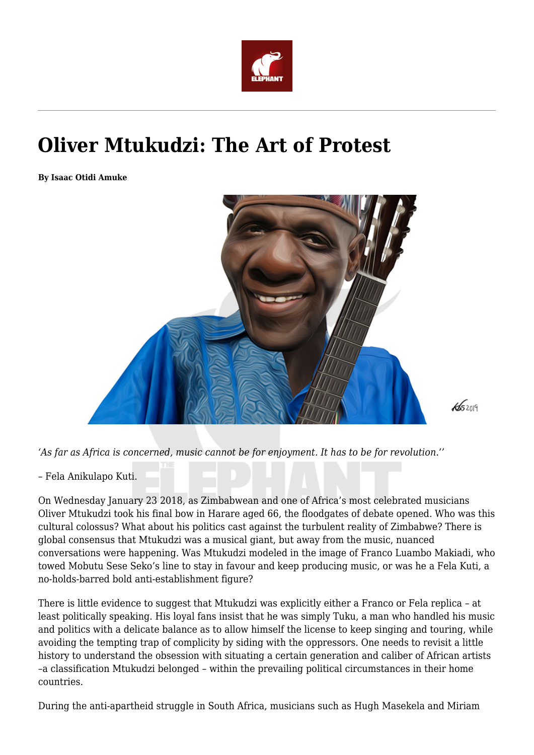

## **Oliver Mtukudzi: The Art of Protest**

**By Isaac Otidi Amuke**



*'As far as Africa is concerned, music cannot be for enjoyment. It has to be for revolution.''*

– Fela Anikulapo Kuti.

On Wednesday January 23 2018, as Zimbabwean and one of Africa's most celebrated musicians Oliver Mtukudzi took his final bow in Harare aged 66, the floodgates of debate opened. Who was this cultural colossus? What about his politics cast against the turbulent reality of Zimbabwe? There is global consensus that Mtukudzi was a musical giant, but away from the music, nuanced conversations were happening. Was Mtukudzi modeled in the image of Franco Luambo Makiadi, who towed Mobutu Sese Seko's line to stay in favour and keep producing music, or was he a Fela Kuti, a no-holds-barred bold anti-establishment figure?

There is little evidence to suggest that Mtukudzi was explicitly either a Franco or Fela replica – at least politically speaking. His loyal fans insist that he was simply Tuku, a man who handled his music and politics with a delicate balance as to allow himself the license to keep singing and touring, while avoiding the tempting trap of complicity by siding with the oppressors. One needs to revisit a little history to understand the obsession with situating a certain generation and caliber of African artists –a classification Mtukudzi belonged – within the prevailing political circumstances in their home countries.

During the anti-apartheid struggle in South Africa, musicians such as Hugh Masekela and Miriam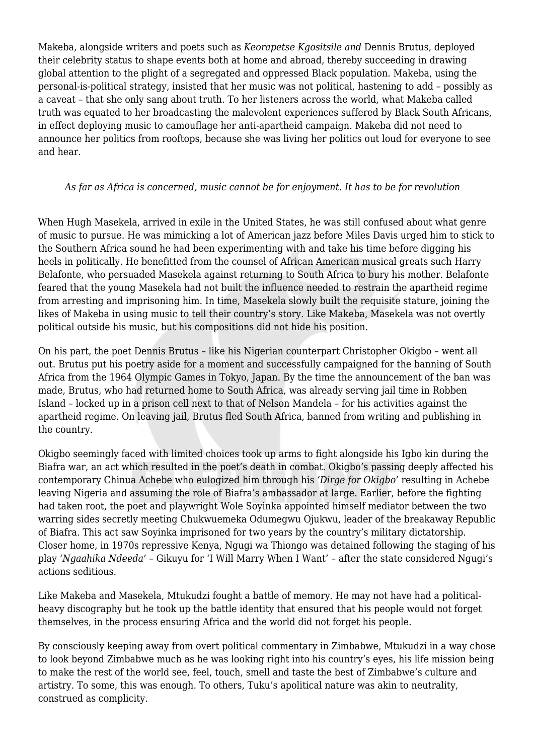Makeba, alongside writers and poets such as *Keorapetse Kgositsile and* Dennis Brutus, deployed their celebrity status to shape events both at home and abroad, thereby succeeding in drawing global attention to the plight of a segregated and oppressed Black population. Makeba, using the personal-is-political strategy, insisted that her music was not political, hastening to add – possibly as a caveat – that she only sang about truth. To her listeners across the world, what Makeba called truth was equated to her broadcasting the malevolent experiences suffered by Black South Africans, in effect deploying music to camouflage her anti-apartheid campaign. Makeba did not need to announce her politics from rooftops, because she was living her politics out loud for everyone to see and hear.

## *As far as Africa is concerned, music cannot be for enjoyment. It has to be for revolution*

When Hugh Masekela, arrived in exile in the United States, he was still confused about what genre of music to pursue. He was mimicking a lot of American jazz before Miles Davis urged him to stick to the Southern Africa sound he had been experimenting with and take his time before digging his heels in politically. He benefitted from the counsel of African American musical greats such Harry Belafonte, who persuaded Masekela against returning to South Africa to bury his mother. Belafonte feared that the young Masekela had not built the influence needed to restrain the apartheid regime from arresting and imprisoning him. In time, Masekela slowly built the requisite stature, joining the likes of Makeba in using music to tell their country's story. Like Makeba, Masekela was not overtly political outside his music, but his compositions did not hide his position.

On his part, the poet Dennis Brutus – like his Nigerian counterpart Christopher Okigbo – went all out. Brutus put his poetry aside for a moment and successfully campaigned for the banning of South Africa from the 1964 Olympic Games in Tokyo, Japan. By the time the announcement of the ban was made, Brutus, who had returned home to South Africa, was already serving jail time in Robben Island – locked up in a prison cell next to that of Nelson Mandela – for his activities against the apartheid regime. On leaving jail, Brutus fled South Africa, banned from writing and publishing in the country.

Okigbo seemingly faced with limited choices took up arms to fight alongside his Igbo kin during the Biafra war, an act which resulted in the poet's death in combat. Okigbo's passing deeply affected his contemporary Chinua Achebe who eulogized him through his *'Dirge for Okigbo'* resulting in Achebe leaving Nigeria and assuming the role of Biafra's ambassador at large. Earlier, before the fighting had taken root, the poet and playwright Wole Soyinka appointed himself mediator between the two warring sides secretly meeting Chukwuemeka Odumegwu Ojukwu, leader of the breakaway Republic of Biafra. This act saw Soyinka imprisoned for two years by the country's military dictatorship. Closer home, in 1970s repressive Kenya, Ngugi wa Thiongo was detained following the staging of his play '*Ngaahika Ndeeda' –* Gikuyu for 'I Will Marry When I Want' – after the state considered Ngugi's actions seditious.

Like Makeba and Masekela, Mtukudzi fought a battle of memory. He may not have had a politicalheavy discography but he took up the battle identity that ensured that his people would not forget themselves, in the process ensuring Africa and the world did not forget his people.

By consciously keeping away from overt political commentary in Zimbabwe, Mtukudzi in a way chose to look beyond Zimbabwe much as he was looking right into his country's eyes, his life mission being to make the rest of the world see, feel, touch, smell and taste the best of Zimbabwe's culture and artistry. To some, this was enough. To others, Tuku's apolitical nature was akin to neutrality, construed as complicity.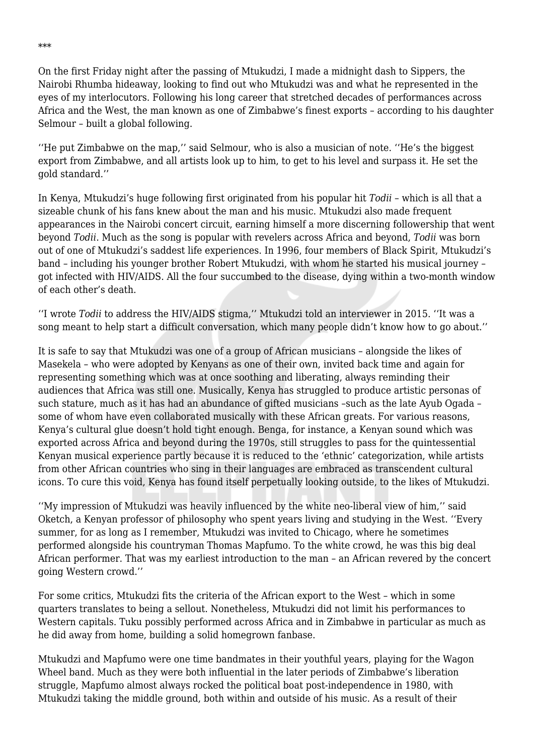On the first Friday night after the passing of Mtukudzi, I made a midnight dash to Sippers, the Nairobi Rhumba hideaway, looking to find out who Mtukudzi was and what he represented in the eyes of my interlocutors. Following his long career that stretched decades of performances across Africa and the West, the man known as one of Zimbabwe's finest exports – according to his daughter Selmour – built a global following.

''He put Zimbabwe on the map,'' said Selmour, who is also a musician of note. ''He's the biggest export from Zimbabwe, and all artists look up to him, to get to his level and surpass it. He set the gold standard.''

In Kenya, Mtukudzi's huge following first originated from his popular hit *Todii* – which is all that a sizeable chunk of his fans knew about the man and his music. Mtukudzi also made frequent appearances in the Nairobi concert circuit, earning himself a more discerning followership that went beyond *Todii*. Much as the song is popular with revelers across Africa and beyond, *Todii* was born out of one of Mtukudzi's saddest life experiences. In 1996, four members of Black Spirit, Mtukudzi's band – including his younger brother Robert Mtukudzi, with whom he started his musical journey – got infected with HIV/AIDS. All the four succumbed to the disease, dying within a two-month window of each other's death.

''I wrote *Todii* to address the HIV/AIDS stigma,'' Mtukudzi told an interviewer in 2015. ''It was a song meant to help start a difficult conversation, which many people didn't know how to go about.''

It is safe to say that Mtukudzi was one of a group of African musicians – alongside the likes of Masekela – who were adopted by Kenyans as one of their own, invited back time and again for representing something which was at once soothing and liberating, always reminding their audiences that Africa was still one. Musically, Kenya has struggled to produce artistic personas of such stature, much as it has had an abundance of gifted musicians –such as the late Ayub Ogada – some of whom have even collaborated musically with these African greats. For various reasons, Kenya's cultural glue doesn't hold tight enough. Benga, for instance, a Kenyan sound which was exported across Africa and beyond during the 1970s, still struggles to pass for the quintessential Kenyan musical experience partly because it is reduced to the 'ethnic' categorization, while artists from other African countries who sing in their languages are embraced as transcendent cultural icons. To cure this void, Kenya has found itself perpetually looking outside, to the likes of Mtukudzi.

''My impression of Mtukudzi was heavily influenced by the white neo-liberal view of him,'' said Oketch, a Kenyan professor of philosophy who spent years living and studying in the West. ''Every summer, for as long as I remember, Mtukudzi was invited to Chicago, where he sometimes performed alongside his countryman Thomas Mapfumo. To the white crowd, he was this big deal African performer. That was my earliest introduction to the man – an African revered by the concert going Western crowd.''

For some critics, Mtukudzi fits the criteria of the African export to the West – which in some quarters translates to being a sellout. Nonetheless, Mtukudzi did not limit his performances to Western capitals. Tuku possibly performed across Africa and in Zimbabwe in particular as much as he did away from home, building a solid homegrown fanbase.

Mtukudzi and Mapfumo were one time bandmates in their youthful years, playing for the Wagon Wheel band. Much as they were both influential in the later periods of Zimbabwe's liberation struggle, Mapfumo almost always rocked the political boat post-independence in 1980, with Mtukudzi taking the middle ground, both within and outside of his music. As a result of their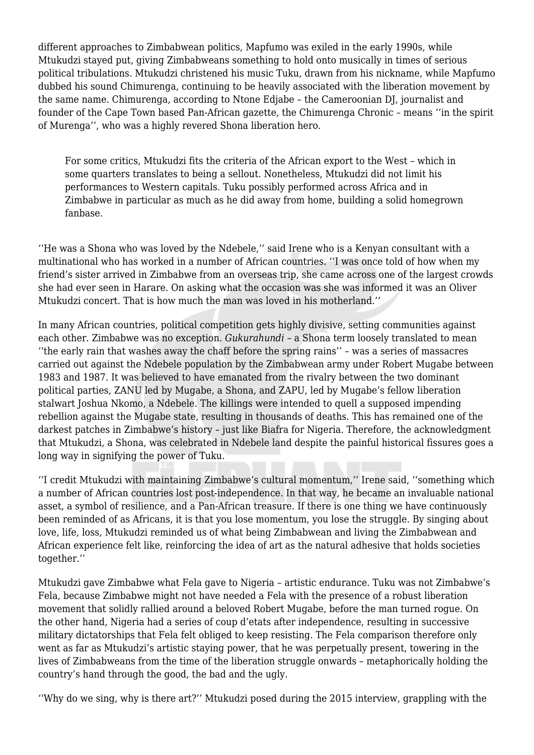different approaches to Zimbabwean politics, Mapfumo was exiled in the early 1990s, while Mtukudzi stayed put, giving Zimbabweans something to hold onto musically in times of serious political tribulations. Mtukudzi christened his music Tuku, drawn from his nickname, while Mapfumo dubbed his sound Chimurenga, continuing to be heavily associated with the liberation movement by the same name. Chimurenga, according to Ntone Edjabe – the Cameroonian DJ, journalist and founder of the Cape Town based Pan-African gazette, the Chimurenga Chronic – means ''in the spirit of Murenga'', who was a highly revered Shona liberation hero.

For some critics, Mtukudzi fits the criteria of the African export to the West – which in some quarters translates to being a sellout. Nonetheless, Mtukudzi did not limit his performances to Western capitals. Tuku possibly performed across Africa and in Zimbabwe in particular as much as he did away from home, building a solid homegrown fanbase.

''He was a Shona who was loved by the Ndebele,'' said Irene who is a Kenyan consultant with a multinational who has worked in a number of African countries. ''I was once told of how when my friend's sister arrived in Zimbabwe from an overseas trip, she came across one of the largest crowds she had ever seen in Harare. On asking what the occasion was she was informed it was an Oliver Mtukudzi concert. That is how much the man was loved in his motherland.''

In many African countries, political competition gets highly divisive, setting communities against each other. Zimbabwe was no exception. *Gukurahundi* – a Shona term loosely translated to mean ''the early rain that washes away the chaff before the spring rains'' – was a series of massacres carried out against the Ndebele population by the Zimbabwean army under Robert Mugabe between 1983 and 1987. It was believed to have emanated from the rivalry between the two dominant political parties, ZANU led by Mugabe, a Shona, and ZAPU, led by Mugabe's fellow liberation stalwart Joshua Nkomo, a Ndebele. The killings were intended to quell a supposed impending rebellion against the Mugabe state, resulting in thousands of deaths. This has remained one of the darkest patches in Zimbabwe's history – just like Biafra for Nigeria. Therefore, the acknowledgment that Mtukudzi, a Shona, was celebrated in Ndebele land despite the painful historical fissures goes a long way in signifying the power of Tuku.

''I credit Mtukudzi with maintaining Zimbabwe's cultural momentum,'' Irene said, ''something which a number of African countries lost post-independence. In that way, he became an invaluable national asset, a symbol of resilience, and a Pan-African treasure. If there is one thing we have continuously been reminded of as Africans, it is that you lose momentum, you lose the struggle. By singing about love, life, loss, Mtukudzi reminded us of what being Zimbabwean and living the Zimbabwean and African experience felt like, reinforcing the idea of art as the natural adhesive that holds societies together.''

Mtukudzi gave Zimbabwe what Fela gave to Nigeria – artistic endurance. Tuku was not Zimbabwe's Fela, because Zimbabwe might not have needed a Fela with the presence of a robust liberation movement that solidly rallied around a beloved Robert Mugabe, before the man turned rogue. On the other hand, Nigeria had a series of coup d'etats after independence, resulting in successive military dictatorships that Fela felt obliged to keep resisting. The Fela comparison therefore only went as far as Mtukudzi's artistic staying power, that he was perpetually present, towering in the lives of Zimbabweans from the time of the liberation struggle onwards – metaphorically holding the country's hand through the good, the bad and the ugly.

''Why do we sing, why is there art?'' Mtukudzi posed during the 2015 interview, grappling with the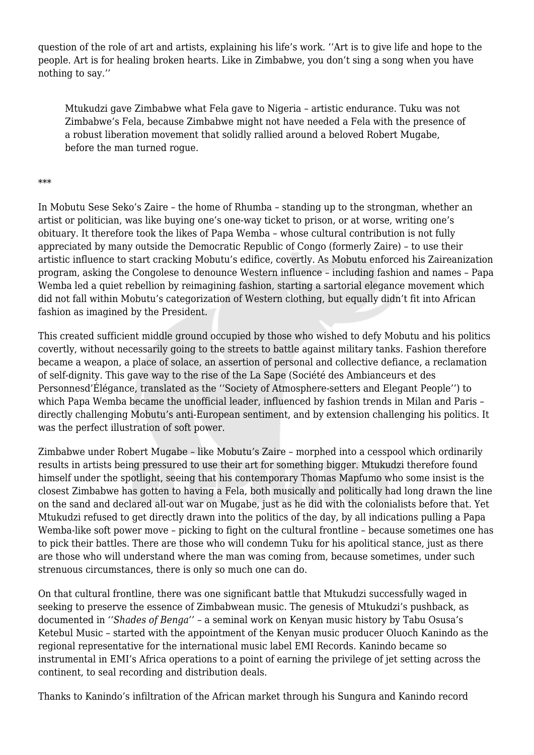question of the role of art and artists, explaining his life's work. ''Art is to give life and hope to the people. Art is for healing broken hearts. Like in Zimbabwe, you don't sing a song when you have nothing to say.''

Mtukudzi gave Zimbabwe what Fela gave to Nigeria – artistic endurance. Tuku was not Zimbabwe's Fela, because Zimbabwe might not have needed a Fela with the presence of a robust liberation movement that solidly rallied around a beloved Robert Mugabe, before the man turned rogue.

## \*\*\*

In Mobutu Sese Seko's Zaire – the home of Rhumba – standing up to the strongman, whether an artist or politician, was like buying one's one-way ticket to prison, or at worse, writing one's obituary. It therefore took the likes of Papa Wemba – whose cultural contribution is not fully appreciated by many outside the Democratic Republic of Congo (formerly Zaire) – to use their artistic influence to start cracking Mobutu's edifice, covertly. As Mobutu enforced his Zaireanization program, asking the Congolese to denounce Western influence – including fashion and names – Papa Wemba led a quiet rebellion by reimagining fashion, starting a sartorial elegance movement which did not fall within Mobutu's categorization of Western clothing, but equally didn't fit into African fashion as imagined by the President.

This created sufficient middle ground occupied by those who wished to defy Mobutu and his politics covertly, without necessarily going to the streets to battle against military tanks. Fashion therefore became a weapon, a place of solace, an assertion of personal and collective defiance, a reclamation of self-dignity. This gave way to the rise of the La Sape (Société des Ambianceurs et des Personnesd'Élégance, translated as the ''Society of Atmosphere-setters and Elegant People'') to which Papa Wemba became the unofficial leader, influenced by fashion trends in Milan and Paris – directly challenging Mobutu's anti-European sentiment, and by extension challenging his politics. It was the perfect illustration of soft power.

Zimbabwe under Robert Mugabe – like Mobutu's Zaire – morphed into a cesspool which ordinarily results in artists being pressured to use their art for something bigger. Mtukudzi therefore found himself under the spotlight, seeing that his contemporary Thomas Mapfumo who some insist is the closest Zimbabwe has gotten to having a Fela, both musically and politically had long drawn the line on the sand and declared all-out war on Mugabe, just as he did with the colonialists before that. Yet Mtukudzi refused to get directly drawn into the politics of the day, by all indications pulling a Papa Wemba-like soft power move – picking to fight on the cultural frontline – because sometimes one has to pick their battles. There are those who will condemn Tuku for his apolitical stance, just as there are those who will understand where the man was coming from, because sometimes, under such strenuous circumstances, there is only so much one can do.

On that cultural frontline, there was one significant battle that Mtukudzi successfully waged in seeking to preserve the essence of Zimbabwean music. The genesis of Mtukudzi's pushback, as documented in *''Shades of Benga''* – a seminal work on Kenyan music history by Tabu Osusa's Ketebul Music – started with the appointment of the Kenyan music producer Oluoch Kanindo as the regional representative for the international music label EMI Records. Kanindo became so instrumental in EMI's Africa operations to a point of earning the privilege of jet setting across the continent, to seal recording and distribution deals.

Thanks to Kanindo's infiltration of the African market through his Sungura and Kanindo record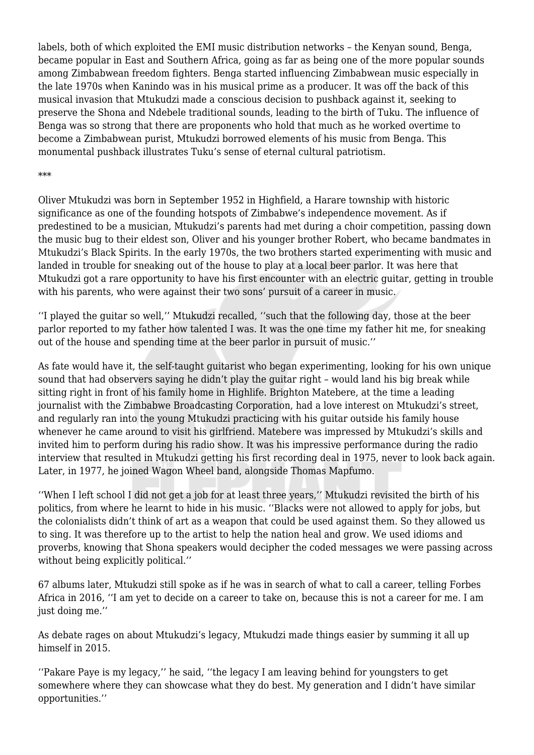labels, both of which exploited the EMI music distribution networks – the Kenyan sound, Benga, became popular in East and Southern Africa, going as far as being one of the more popular sounds among Zimbabwean freedom fighters. Benga started influencing Zimbabwean music especially in the late 1970s when Kanindo was in his musical prime as a producer. It was off the back of this musical invasion that Mtukudzi made a conscious decision to pushback against it, seeking to preserve the Shona and Ndebele traditional sounds, leading to the birth of Tuku. The influence of Benga was so strong that there are proponents who hold that much as he worked overtime to become a Zimbabwean purist, Mtukudzi borrowed elements of his music from Benga. This monumental pushback illustrates Tuku's sense of eternal cultural patriotism.

## \*\*\*

Oliver Mtukudzi was born in September 1952 in Highfield, a Harare township with historic significance as one of the founding hotspots of Zimbabwe's independence movement. As if predestined to be a musician, Mtukudzi's parents had met during a choir competition, passing down the music bug to their eldest son, Oliver and his younger brother Robert, who became bandmates in Mtukudzi's Black Spirits. In the early 1970s, the two brothers started experimenting with music and landed in trouble for sneaking out of the house to play at a local beer parlor. It was here that Mtukudzi got a rare opportunity to have his first encounter with an electric guitar, getting in trouble with his parents, who were against their two sons' pursuit of a career in music.

''I played the guitar so well,'' Mtukudzi recalled, ''such that the following day, those at the beer parlor reported to my father how talented I was. It was the one time my father hit me, for sneaking out of the house and spending time at the beer parlor in pursuit of music.''

As fate would have it, the self-taught guitarist who began experimenting, looking for his own unique sound that had observers saying he didn't play the guitar right – would land his big break while sitting right in front of his family home in Highlife. Brighton Matebere, at the time a leading journalist with the Zimbabwe Broadcasting Corporation, had a love interest on Mtukudzi's street, and regularly ran into the young Mtukudzi practicing with his guitar outside his family house whenever he came around to visit his girlfriend. Matebere was impressed by Mtukudzi's skills and invited him to perform during his radio show. It was his impressive performance during the radio interview that resulted in Mtukudzi getting his first recording deal in 1975, never to look back again. Later, in 1977, he joined Wagon Wheel band, alongside Thomas Mapfumo.

''When I left school I did not get a job for at least three years,'' Mtukudzi revisited the birth of his politics, from where he learnt to hide in his music. ''Blacks were not allowed to apply for jobs, but the colonialists didn't think of art as a weapon that could be used against them. So they allowed us to sing. It was therefore up to the artist to help the nation heal and grow. We used idioms and proverbs, knowing that Shona speakers would decipher the coded messages we were passing across without being explicitly political.''

67 albums later, Mtukudzi still spoke as if he was in search of what to call a career, telling Forbes Africa in 2016, ''I am yet to decide on a career to take on, because this is not a career for me. I am just doing me.''

As debate rages on about Mtukudzi's legacy, Mtukudzi made things easier by summing it all up himself in 2015.

''Pakare Paye is my legacy,'' he said, ''the legacy I am leaving behind for youngsters to get somewhere where they can showcase what they do best. My generation and I didn't have similar opportunities.''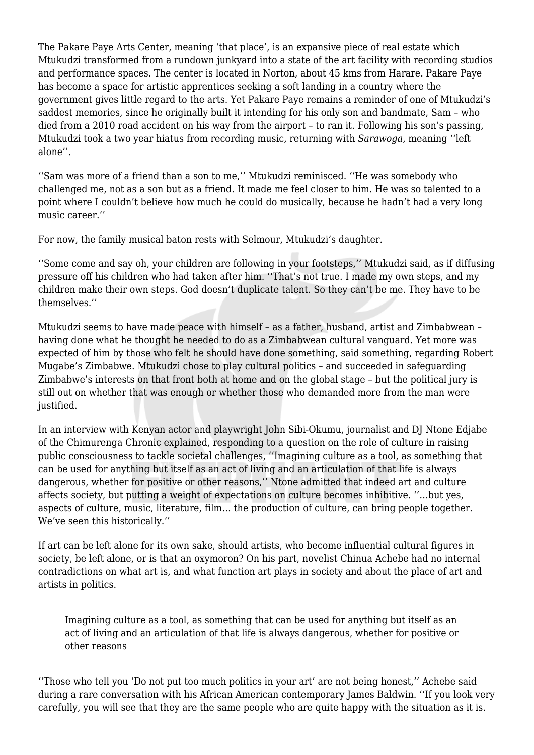The Pakare Paye Arts Center, meaning 'that place', is an expansive piece of real estate which Mtukudzi transformed from a rundown junkyard into a state of the art facility with recording studios and performance spaces. The center is located in Norton, about 45 kms from Harare. Pakare Paye has become a space for artistic apprentices seeking a soft landing in a country where the government gives little regard to the arts. Yet Pakare Paye remains a reminder of one of Mtukudzi's saddest memories, since he originally built it intending for his only son and bandmate, Sam – who died from a 2010 road accident on his way from the airport – to ran it. Following his son's passing, Mtukudzi took a two year hiatus from recording music, returning with *Sarawoga*, meaning ''left alone''.

''Sam was more of a friend than a son to me,'' Mtukudzi reminisced. ''He was somebody who challenged me, not as a son but as a friend. It made me feel closer to him. He was so talented to a point where I couldn't believe how much he could do musically, because he hadn't had a very long music career.''

For now, the family musical baton rests with Selmour, Mtukudzi's daughter.

''Some come and say oh, your children are following in your footsteps,'' Mtukudzi said, as if diffusing pressure off his children who had taken after him. ''That's not true. I made my own steps, and my children make their own steps. God doesn't duplicate talent. So they can't be me. They have to be themselves.''

Mtukudzi seems to have made peace with himself – as a father, husband, artist and Zimbabwean – having done what he thought he needed to do as a Zimbabwean cultural vanguard. Yet more was expected of him by those who felt he should have done something, said something, regarding Robert Mugabe's Zimbabwe. Mtukudzi chose to play cultural politics – and succeeded in safeguarding Zimbabwe's interests on that front both at home and on the global stage – but the political jury is still out on whether that was enough or whether those who demanded more from the man were justified.

In an interview with Kenyan actor and playwright John Sibi-Okumu, journalist and DJ Ntone Edjabe of the Chimurenga Chronic explained, responding to a question on the role of culture in raising public consciousness to tackle societal challenges, ''Imagining culture as a tool, as something that can be used for anything but itself as an act of living and an articulation of that life is always dangerous, whether for positive or other reasons,'' Ntone admitted that indeed art and culture affects society, but putting a weight of expectations on culture becomes inhibitive. ''…but yes, aspects of culture, music, literature, film… the production of culture, can bring people together. We've seen this historically.''

If art can be left alone for its own sake, should artists, who become influential cultural figures in society, be left alone, or is that an oxymoron? On his part, novelist Chinua Achebe had no internal contradictions on what art is, and what function art plays in society and about the place of art and artists in politics.

Imagining culture as a tool, as something that can be used for anything but itself as an act of living and an articulation of that life is always dangerous, whether for positive or other reasons

''Those who tell you 'Do not put too much politics in your art' are not being honest,'' Achebe said during a rare conversation with his African American contemporary James Baldwin. ''If you look very carefully, you will see that they are the same people who are quite happy with the situation as it is.